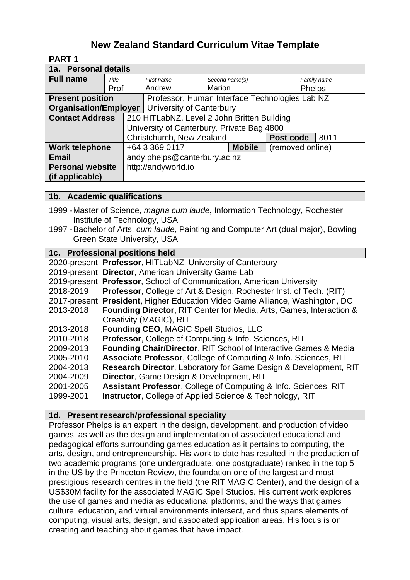# **New Zealand Standard Curriculum Vitae Template**

**PART 1**

| 1a. Personal details         |       |                                                |                |               |                  |               |  |  |
|------------------------------|-------|------------------------------------------------|----------------|---------------|------------------|---------------|--|--|
| <b>Full name</b>             | Title | First name                                     | Second name(s) |               |                  | Family name   |  |  |
|                              | Prof  | Andrew                                         | <b>Marion</b>  |               |                  | <b>Phelps</b> |  |  |
| <b>Present position</b>      |       | Professor, Human Interface Technologies Lab NZ |                |               |                  |               |  |  |
| <b>Organisation/Employer</b> |       | University of Canterbury                       |                |               |                  |               |  |  |
| <b>Contact Address</b>       |       | 210 HITLabNZ, Level 2 John Britten Building    |                |               |                  |               |  |  |
|                              |       | University of Canterbury. Private Bag 4800     |                |               |                  |               |  |  |
|                              |       | Christchurch, New Zealand<br>Post code         |                |               | 8011             |               |  |  |
| Work telephone               |       | +64 3 369 0117                                 |                | <b>Mobile</b> | (removed online) |               |  |  |
| <b>Email</b>                 |       | andy.phelps@canterbury.ac.nz                   |                |               |                  |               |  |  |
| <b>Personal website</b>      |       | http://andyworld.io                            |                |               |                  |               |  |  |
| (if applicable)              |       |                                                |                |               |                  |               |  |  |

## **1b. Academic qualifications**

- 1999 -Master of Science, *magna cum laude***,** Information Technology, Rochester Institute of Technology, USA
- 1997 -Bachelor of Arts, *cum laude*, Painting and Computer Art (dual major), Bowling Green State University, USA

# **Professional positions held**

|           | 2020-present Professor, HITLabNZ, University of Canterbury                     |
|-----------|--------------------------------------------------------------------------------|
|           | 2019-present Director, American University Game Lab                            |
|           | 2019-present Professor, School of Communication, American University           |
| 2018-2019 | <b>Professor, College of Art &amp; Design, Rochester Inst. of Tech. (RIT)</b>  |
|           | 2017-present President, Higher Education Video Game Alliance, Washington, DC   |
| 2013-2018 | <b>Founding Director, RIT Center for Media, Arts, Games, Interaction &amp;</b> |
|           | Creativity (MAGIC), RIT                                                        |
| 2013-2018 | Founding CEO, MAGIC Spell Studios, LLC                                         |
| 2010-2018 | Professor, College of Computing & Info. Sciences, RIT                          |
| 2009-2013 | <b>Founding Chair/Director, RIT School of Interactive Games &amp; Media</b>    |
| 2005-2010 | Associate Professor, College of Computing & Info. Sciences, RIT                |
| 2004-2013 | <b>Research Director, Laboratory for Game Design &amp; Development, RIT</b>    |
| 2004-2009 | Director, Game Design & Development, RIT                                       |
| 2001-2005 | Assistant Professor, College of Computing & Info. Sciences, RIT                |
| 1999-2001 | <b>Instructor, College of Applied Science &amp; Technology, RIT</b>            |
|           |                                                                                |

## **1d. Present research/professional speciality**

Professor Phelps is an expert in the design, development, and production of video games, as well as the design and implementation of associated educational and pedagogical efforts surrounding games education as it pertains to computing, the arts, design, and entrepreneurship. His work to date has resulted in the production of two academic programs (one undergraduate, one postgraduate) ranked in the top 5 in the US by the Princeton Review, the foundation one of the largest and most prestigious research centres in the field (the RIT MAGIC Center), and the design of a US\$30M facility for the associated MAGIC Spell Studios. His current work explores the use of games and media as educational platforms, and the ways that games culture, education, and virtual environments intersect, and thus spans elements of computing, visual arts, design, and associated application areas. His focus is on creating and teaching about games that have impact.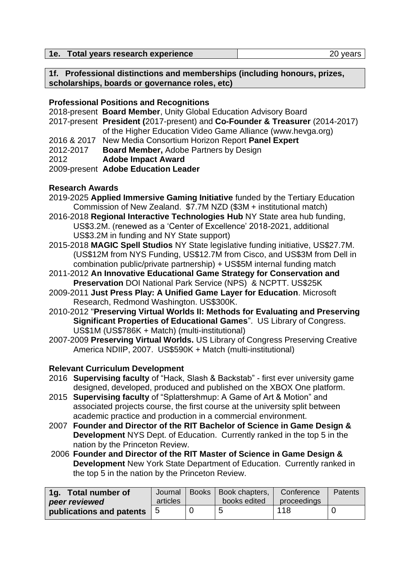| 1e. Total years research experience<br>20 years |
|-------------------------------------------------|
|-------------------------------------------------|

**1f. Professional distinctions and memberships (including honours, prizes, scholarships, boards or governance roles, etc)**

#### **Professional Positions and Recognitions**

|             | 2018-present Board Member, Unity Global Education Advisory Board             |
|-------------|------------------------------------------------------------------------------|
|             | 2017-present President (2017-present) and Co-Founder & Treasurer (2014-2017) |
|             | of the Higher Education Video Game Alliance (www.hevga.org)                  |
| 2016 & 2017 | New Media Consortium Horizon Report Panel Expert                             |
| 2012-2017   | <b>Board Member, Adobe Partners by Design</b>                                |
| 2012        | <b>Adobe Impact Award</b>                                                    |
|             |                                                                              |

2009-present **Adobe Education Leader**

## **Research Awards**

- 2019-2025 **Applied Immersive Gaming Initiative** funded by the Tertiary Education Commission of New Zealand. \$7.7M NZD (\$3M + institutional match)
- 2016-2018 **Regional Interactive Technologies Hub** NY State area hub funding, US\$3.2M. (renewed as a 'Center of Excellence' 2018-2021, additional US\$3.2M in funding and NY State support)
- 2015-2018 **MAGIC Spell Studios** NY State legislative funding initiative, US\$27.7M. (US\$12M from NYS Funding, US\$12.7M from Cisco, and US\$3M from Dell in combination public/private partnership) + US\$5M internal funding match
- 2011-2012 **An Innovative Educational Game Strategy for Conservation and Preservation** DOI National Park Service (NPS) & NCPTT. US\$25K
- 2009-2011 **Just Press Play: A Unified Game Layer for Education**. Microsoft Research, Redmond Washington. US\$300K.
- 2010-2012 "**Preserving Virtual Worlds II: Methods for Evaluating and Preserving Significant Properties of Educational Games**". US Library of Congress. US\$1M (US\$786K + Match) (multi-institutional)
- 2007-2009 **Preserving Virtual Worlds.** US Library of Congress Preserving Creative America NDIIP, 2007. US\$590K + Match (multi-institutional)

## **Relevant Curriculum Development**

- 2016 **Supervising faculty** of "Hack, Slash & Backstab" first ever university game designed, developed, produced and published on the XBOX One platform.
- 2015 **Supervising faculty** of "Splattershmup: A Game of Art & Motion" and associated projects course, the first course at the university split between academic practice and production in a commercial environment.
- 2007 **Founder and Director of the RIT Bachelor of Science in Game Design & Development** NYS Dept. of Education. Currently ranked in the top 5 in the nation by the Princeton Review.
- 2006 **Founder and Director of the RIT Master of Science in Game Design & Development** New York State Department of Education. Currently ranked in the top 5 in the nation by the Princeton Review.

| 1g. Total number of            | Journal  | Books Book chapters, | Conference  | Patents |
|--------------------------------|----------|----------------------|-------------|---------|
| peer reviewed                  | articles | books edited         | proceedings |         |
| publications and patents $ 5 $ |          |                      | 118         |         |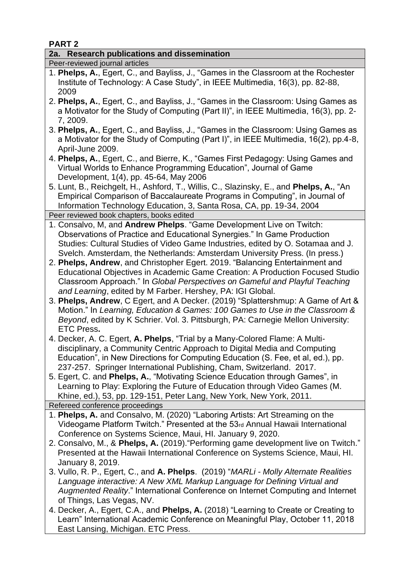**PART 2**

## **2a. Research publications and dissemination**

Peer-reviewed journal articles

- 1. **Phelps, A.**, Egert, C., and Bayliss, J., "Games in the Classroom at the Rochester Institute of Technology: A Case Study", in IEEE Multimedia, 16(3), pp. 82-88, 2009
- 2. **Phelps, A.**, Egert, C., and Bayliss, J., "Games in the Classroom: Using Games as a Motivator for the Study of Computing (Part II)", in IEEE Multimedia, 16(3), pp. 2- 7, 2009.
- 3. **Phelps, A.**, Egert, C., and Bayliss, J., "Games in the Classroom: Using Games as a Motivator for the Study of Computing (Part I)", in IEEE Multimedia, 16(2), pp.4-8, April-June 2009.
- 4. **Phelps, A.**, Egert, C., and Bierre, K., "Games First Pedagogy: Using Games and Virtual Worlds to Enhance Programming Education", Journal of Game Development, 1(4), pp. 45-64, May 2006
- 5. Lunt, B., Reichgelt, H., Ashford, T., Willis, C., Slazinsky, E., and **Phelps, A.**, "An Empirical Comparison of Baccalaureate Programs in Computing", in Journal of Information Technology Education, 3, Santa Rosa, CA, pp. 19-34, 2004 Peer reviewed book chapters, books edited

1. Consalvo, M, and **Andrew Phelps**. "Game Development Live on Twitch:

- Observations of Practice and Educational Synergies." In Game Production Studies: Cultural Studies of Video Game Industries, edited by O. Sotamaa and J. Svelch. Amsterdam, the Netherlands: Amsterdam University Press. (In press.)
- 2. **Phelps, Andrew**, and Christopher Egert. 2019. "Balancing Entertainment and Educational Objectives in Academic Game Creation: A Production Focused Studio Classroom Approach." In *Global Perspectives on Gameful and Playful Teaching and Learning*, edited by M Farber. Hershey, PA: IGI Global.
- 3. **Phelps, Andrew**, C Egert, and A Decker. (2019) "Splattershmup: A Game of Art & Motion." In *Learning, Education & Games: 100 Games to Use in the Classroom & Beyond*, edited by K Schrier. Vol. 3. Pittsburgh, PA: Carnegie Mellon University: ETC Press**.**
- 4. Decker, A. C. Egert, **A. Phelps**, "Trial by a Many-Colored Flame: A Multi disciplinary, a Community Centric Approach to Digital Media and Computing Education", in New Directions for Computing Education (S. Fee, et al, ed.), pp. 237-257. Springer International Publishing, Cham, Switzerland. 2017.
- 5. Egert, C. and **Phelps, A.**, "Motivating Science Education through Games", in Learning to Play: Exploring the Future of Education through Video Games (M. Khine, ed.), 53, pp. 129-151, Peter Lang, New York, New York, 2011.

Refereed conference proceedings

- 1. **Phelps, A.** and Consalvo, M. (2020) "Laboring Artists: Art Streaming on the Videogame Platform Twitch." Presented at the 53rd Annual Hawaii International Conference on Systems Science, Maui, HI. January 9, 2020.
- 2. Consalvo, M., & **Phelps, A.** (2019)."Performing game development live on Twitch." Presented at the Hawaii International Conference on Systems Science, Maui, HI. January 8, 2019.
- 3. Vullo, R. P., Egert, C., and **A. Phelps**. (2019) "*MARLi - Molly Alternate Realities Language interactive: A New XML Markup Language for Defining Virtual and Augmented Reality*." International Conference on Internet Computing and Internet of Things, Las Vegas, NV.
- 4. Decker, A., Egert, C.A., and **Phelps, A.** (2018) "Learning to Create or Creating to Learn" International Academic Conference on Meaningful Play, October 11, 2018 East Lansing, Michigan. ETC Press.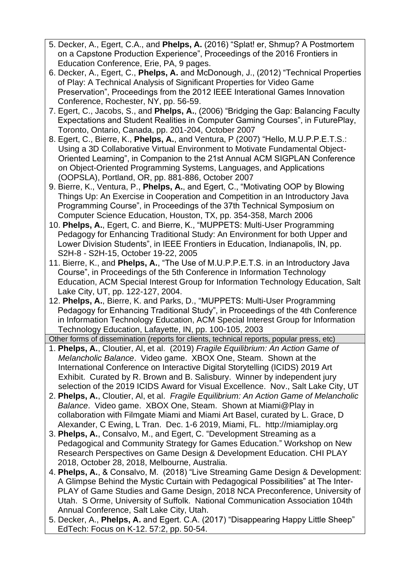- 5. Decker, A., Egert, C.A., and **Phelps, A.** (2016) "Splat! er, Shmup? A Postmortem on a Capstone Production Experience", Proceedings of the 2016 Frontiers in Education Conference, Erie, PA, 9 pages.
- 6. Decker, A., Egert, C., **Phelps, A.** and McDonough, J., (2012) "Technical Properties of Play: A Technical Analysis of Significant Properties for Video Game Preservation", Proceedings from the 2012 IEEE Interational Games Innovation Conference, Rochester, NY, pp. 56-59.
- 7. Egert, C., Jacobs, S., and **Phelps, A.**, (2006) "Bridging the Gap: Balancing Faculty Expectations and Student Realities in Computer Gaming Courses", in FuturePlay, Toronto, Ontario, Canada, pp. 201-204, October 2007
- 8. Egert, C., Bierre, K., **Phelps, A.**, and Ventura, P (2007) "Hello, M.U.P.P.E.T.S.: Using a 3D Collaborative Virtual Environment to Motivate Fundamental Object-Oriented Learning", in Companion to the 21st Annual ACM SIGPLAN Conference on Object-Oriented Programming Systems, Languages, and Applications (OOPSLA), Portland, OR, pp. 881-886, October 2007
- 9. Bierre, K., Ventura, P., **Phelps, A.**, and Egert, C., "Motivating OOP by Blowing Things Up: An Exercise in Cooperation and Competition in an Introductory Java Programming Course", in Proceedings of the 37th Technical Symposium on Computer Science Education, Houston, TX, pp. 354-358, March 2006
- 10. **Phelps, A.**, Egert, C. and Bierre, K., "MUPPETS: Multi-User Programming Pedagogy for Enhancing Traditional Study: An Environment for both Upper and Lower Division Students", in IEEE Frontiers in Education, Indianapolis, IN, pp. S2H-8 - S2H-15, October 19-22, 2005
- 11. Bierre, K., and **Phelps, A.**, "The Use of M.U.P.P.E.T.S. in an Introductory Java Course", in Proceedings of the 5th Conference in Information Technology Education, ACM Special Interest Group for Information Technology Education, Salt Lake City, UT, pp. 122-127, 2004.
- 12. **Phelps, A.**, Bierre, K. and Parks, D., "MUPPETS: Multi-User Programming Pedagogy for Enhancing Traditional Study", in Proceedings of the 4th Conference in Information Technology Education, ACM Special Interest Group for Information Technology Education, Lafayette, IN, pp. 100-105, 2003

Other forms of dissemination (reports for clients, technical reports, popular press, etc)

- 1. **Phelps, A.**, Cloutier, Al, et al. (2019) *Fragile Equilibrium: An Action Game of Melancholic Balance*. Video game. XBOX One, Steam. Shown at the International Conference on Interactive Digital Storytelling (ICIDS) 2019 Art Exhibit. Curated by R. Brown and B. Salisbury. Winner by independent jury selection of the 2019 ICIDS Award for Visual Excellence. Nov., Salt Lake City, UT
- 2. **Phelps, A.**, Cloutier, Al, et al. *Fragile Equilibrium: An Action Game of Melancholic Balance*. Video game. XBOX One, Steam. Shown at Miami@Play in collaboration with Filmgate Miami and Miami Art Basel, curated by L. Grace, D Alexander, C Ewing, L Tran. Dec. 1-6 2019, Miami, FL. http://miamiplay.org
- 3. **Phelps, A.**, Consalvo, M., and Egert, C. "Development Streaming as a Pedagogical and Community Strategy for Games Education." Workshop on New Research Perspectives on Game Design & Development Education. CHI PLAY 2018, October 28, 2018, Melbourne, Australia.
- 4. **Phelps, A.**, & Consalvo, M. (2018) "Live Streaming Game Design & Development: A Glimpse Behind the Mystic Curtain with Pedagogical Possibilities" at The Inter- PLAY of Game Studies and Game Design, 2018 NCA Preconference, University of Utah. S Orme, University of Suffolk. National Communication Association 104th Annual Conference, Salt Lake City, Utah.
- 5. Decker, A., **Phelps, A.** and Egert. C.A. (2017) "Disappearing Happy Little Sheep" EdTech: Focus on K-12. 57:2, pp. 50-54.